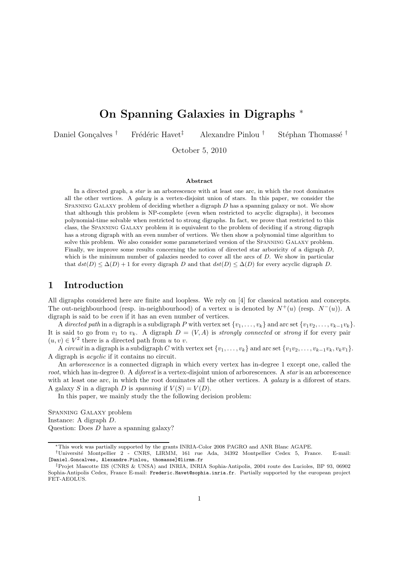# On Spanning Galaxies in Digraphs <sup>∗</sup>

Daniel Gonçalves † Frédéric Havet<sup> $\ddagger$ </sup> Alexandre Pinlou † Stéphan Thomassé †

October 5, 2010

#### Abstract

In a directed graph, a star is an arborescence with at least one arc, in which the root dominates all the other vertices. A *galaxy* is a vertex-disjoint union of stars. In this paper, we consider the SPANNING GALAXY problem of deciding whether a digraph  $D$  has a spanning galaxy or not. We show that although this problem is NP-complete (even when restricted to acyclic digraphs), it becomes polynomial-time solvable when restricted to strong digraphs. In fact, we prove that restricted to this class, the Spanning Galaxy problem it is equivalent to the problem of deciding if a strong digraph has a strong digraph with an even number of vertices. We then show a polynomial time algorithm to solve this problem. We also consider some parameterized version of the Spanning Galaxy problem. Finally, we improve some results concerning the notion of directed star arboricity of a digraph  $D$ , which is the minimum number of galaxies needed to cover all the arcs of  $D$ . We show in particular that  $dst(D) \leq \Delta(D) + 1$  for every digraph D and that  $dst(D) \leq \Delta(D)$  for every acyclic digraph D.

### 1 Introduction

All digraphs considered here are finite and loopless. We rely on [4] for classical notation and concepts. The out-neighbourhood (resp. in-neighbourhood) of a vertex u is denoted by  $N^+(u)$  (resp.  $N^-(u)$ ). A digraph is said to be even if it has an even number of vertices.

A directed path in a digraph is a subdigraph P with vertex set  $\{v_1,\ldots,v_k\}$  and arc set  $\{v_1v_2,\ldots,v_{k-1}v_k\}$ . It is said to go from  $v_1$  to  $v_k$ . A digraph  $D = (V, A)$  is *strongly connected* or *strong* if for every pair  $(u, v) \in V^2$  there is a directed path from  $u$  to  $v.$ 

A circuit in a digraph is a subdigraph C with vertex set  $\{v_1,\ldots,v_k\}$  and arc set  $\{v_1v_2,\ldots,v_{k-1}v_k,v_kv_1\}$ . A digraph is acyclic if it contains no circuit.

An arborescence is a connected digraph in which every vertex has in-degree 1 except one, called the root, which has in-degree 0. A diforest is a vertex-disjoint union of arborescences. A star is an arborescence with at least one arc, in which the root dominates all the other vertices. A *galaxy* is a diforest of stars. A galaxy S in a digraph D is spanning if  $V(S) = V(D)$ .

In this paper, we mainly study the the following decision problem:

Spanning Galaxy problem Instance: A digraph D. Question: Does D have a spanning galaxy?

<sup>∗</sup>This work was partially supported by the grants INRIA-Color 2008 PAGRO and ANR Blanc AGAPE.

<sup>†</sup>Universit´e Montpellier 2 - CNRS, LIRMM, 161 rue Ada, 34392 Montpellier Cedex 5, France. E-mail: [Daniel.Goncalves, Alexandre.Pinlou, thomasse]@lirmm.fr

<sup>‡</sup>Projet Mascotte I3S (CNRS & UNSA) and INRIA, INRIA Sophia-Antipolis, 2004 route des Lucioles, BP 93, 06902 Sophia-Antipolis Cedex, France E-mail: Frederic.Havet@sophia.inria.fr. Partially supported by the european project FET-AEOLUS.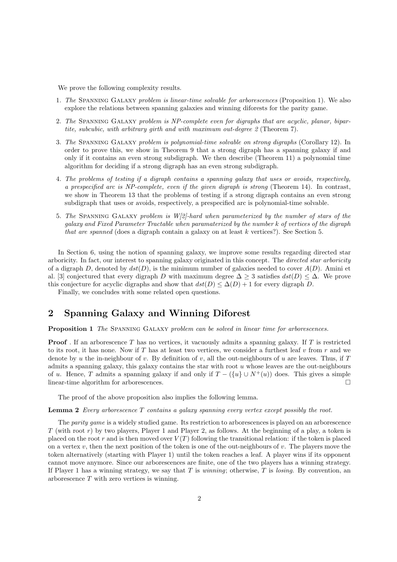We prove the following complexity results.

- 1. The Spanning Galaxy problem is linear-time solvable for arborescences (Proposition 1). We also explore the relations between spanning galaxies and winning diforests for the parity game.
- 2. The Spanning Galaxy problem is NP-complete even for digraphs that are acyclic, planar, bipartite, subcubic, with arbitrary girth and with maximum out-degree 2 (Theorem 7).
- 3. The Spanning Galaxy problem is polynomial-time solvable on strong digraphs (Corollary 12). In order to prove this, we show in Theorem 9 that a strong digraph has a spanning galaxy if and only if it contains an even strong subdigraph. We then describe (Theorem 11) a polynomial time algorithm for deciding if a strong digraph has an even strong subdigraph.
- 4. The problems of testing if a digraph contains a spanning galaxy that uses or avoids, respectively, a prespecified arc is NP-complete, even if the given digraph is strong (Theorem 14). In contrast, we show in Theorem 13 that the problems of testing if a strong digraph contains an even strong subdigraph that uses or avoids, respectively, a prespecified arc is polynomial-time solvable.
- 5. The Spanning Galaxy problem is W[2]-hard when parameterized by the number of stars of the galaxy and Fixed Parameter Tractable when paramaterized by the number k of vertices of the digraph that are spanned (does a digraph contain a galaxy on at least  $k$  vertices?). See Section 5.

In Section 6, using the notion of spanning galaxy, we improve some results regarding directed star arboricity. In fact, our interest to spanning galaxy originated in this concept. The directed star arboricity of a digraph D, denoted by  $dst(D)$ , is the minimum number of galaxies needed to cover  $A(D)$ . Amini et al. [3] conjectured that every digraph D with maximum degree  $\Delta > 3$  satisfies  $dst(D) \leq \Delta$ . We prove this conjecture for acyclic digraphs and show that  $dst(D) \leq \Delta(D) + 1$  for every digraph D.

Finally, we concludes with some related open questions.

# 2 Spanning Galaxy and Winning Diforest

Proposition 1 The SPANNING GALAXY problem can be solved in linear time for arborescences.

**Proof**. If an arborescence T has no vertices, it vacuously admits a spanning galaxy. If T is restricted to its root, it has none. Now if T has at least two vertices, we consider a furthest leaf v from  $r$  and we denote by u the in-neighbour of v. By definition of v, all the out-neighbours of u are leaves. Thus, if  $T$ admits a spanning galaxy, this galaxy contains the star with root  $u$  whose leaves are the out-neighbours of u. Hence, T admits a spanning galaxy if and only if  $T - (\{u\} \cup N^+(u))$  does. This gives a simple linear-time algorithm for arborescences. linear-time algorithm for arborescences.

The proof of the above proposition also implies the following lemma.

### **Lemma 2** Every arborescence  $T$  contains a galaxy spanning every vertex except possibly the root.

The parity game is a widely studied game. Its restriction to arborescences is played on an arborescence  $T$  (with root r) by two players, Player 1 and Player 2, as follows. At the beginning of a play, a token is placed on the root r and is then moved over  $V(T)$  following the transitional relation: if the token is placed on a vertex v, then the next position of the token is one of the out-neighbours of v. The players move the token alternatively (starting with Player 1) until the token reaches a leaf. A player wins if its opponent cannot move anymore. Since our arborescences are finite, one of the two players has a winning strategy. If Player 1 has a winning strategy, we say that  $T$  is *winning*; otherwise,  $T$  is *losing*. By convention, an arborescence T with zero vertices is winning.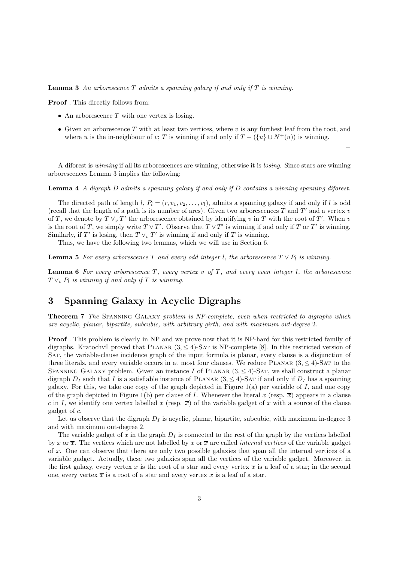**Lemma 3** An arborescence  $T$  admits a spanning galaxy if and only if  $T$  is winning.

Proof . This directly follows from:

- An arborescence  $T$  with one vertex is losing.
- Given an arborescence  $T$  with at least two vertices, where  $v$  is any furthest leaf from the root, and where u is the in-neighbour of v; T is winning if and only if  $T - (\{u\} \cup N^+(u))$  is winning.

 $\Box$ 

A diforest is winning if all its arborescences are winning, otherwise it is losing. Since stars are winning arborescences Lemma 3 implies the following:

Lemma 4 A digraph D admits a spanning galaxy if and only if D contains a winning spanning diforest.

The directed path of length l,  $P_l = (r, v_1, v_2, \ldots, v_l)$ , admits a spanning galaxy if and only if l is odd (recall that the length of a path is its number of arcs). Given two arborescences T and T' and a vertex  $v$ of T, we denote by  $T \vee_v T'$  the arborescence obtained by identifying v in T with the root of T'. When v is the root of T, we simply write  $T \vee T'$ . Observe that  $T \vee T'$  is winning if and only if T or T' is winning. Similarly, if T' is losing, then  $T \vee_v T'$  is winning if and only if T is winning.

Thus, we have the following two lemmas, which we will use in Section 6.

**Lemma 5** For every arborescence T and every odd integer l, the arborescence  $T \vee P_l$  is winning.

**Lemma 6** For every arborescence T, every vertex  $v$  of T, and every even integer l, the arborescence  $T \vee_v P_l$  is winning if and only if T is winning.

# 3 Spanning Galaxy in Acyclic Digraphs

Theorem 7 The Spanning Galaxy problem is NP-complete, even when restricted to digraphs which are acyclic, planar, bipartite, subcubic, with arbitrary girth, and with maximum out-degree 2.

Proof . This problem is clearly in NP and we prove now that it is NP-hard for this restricted family of digraphs. Kratochvíl proved that PLANAR  $(3, \leq 4)$ -SAT is NP-complete [8]. In this restricted version of Sat, the variable-clause incidence graph of the input formula is planar, every clause is a disjunction of three literals, and every variable occurs in at most four clauses. We reduce PLANAR  $(3, \leq 4)$ -SAT to the SPANNING GALAXY problem. Given an instance I of PLANAR  $(3, \leq 4)$ -SAT, we shall construct a planar digraph  $D_I$  such that I is a satisfiable instance of PLANAR  $(3, \leq 4)$ -SAT if and only if  $D_I$  has a spanning galaxy. For this, we take one copy of the graph depicted in Figure  $1(a)$  per variable of I, and one copy of the graph depicted in Figure 1(b) per clause of I. Whenever the literal x (resp.  $\bar{x}$ ) appears in a clause c in I, we identify one vertex labelled x (resp.  $\overline{x}$ ) of the variable gadget of x with a source of the clause gadget of c.

Let us observe that the digraph  $D<sub>I</sub>$  is acyclic, planar, bipartite, subcubic, with maximum in-degree 3 and with maximum out-degree 2.

The variable gadget of x in the graph  $D<sub>I</sub>$  is connected to the rest of the graph by the vertices labelled by x or  $\overline{x}$ . The vertices which are not labelled by x or  $\overline{x}$  are called *internal vertices* of the variable gadget of x. One can observe that there are only two possible galaxies that span all the internal vertices of a variable gadget. Actually, these two galaxies span all the vertices of the variable gadget. Moreover, in the first galaxy, every vertex x is the root of a star and every vertex  $\bar{x}$  is a leaf of a star; in the second one, every vertex  $\bar{x}$  is a root of a star and every vertex x is a leaf of a star.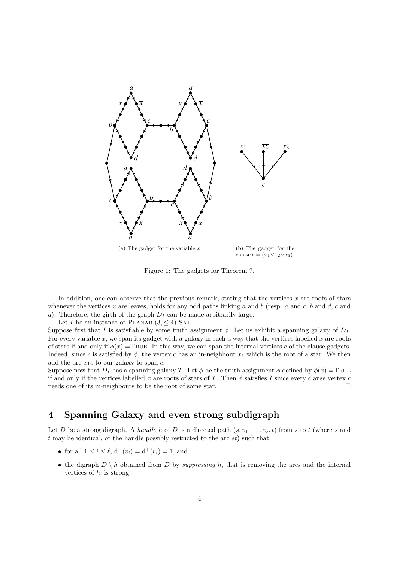

Figure 1: The gadgets for Theorem 7.

In addition, one can observe that the previous remark, stating that the vertices  $x$  are roots of stars whenever the vertices  $\overline{x}$  are leaves, holds for any odd paths linking a and b (resp. a and c, b and d, c and d). Therefore, the girth of the graph  $D<sub>I</sub>$  can be made arbitrarily large.

Let I be an instance of PLANAR  $(3, \leq 4)$ -SAT.

Suppose first that I is satisfiable by some truth assignment  $\phi$ . Let us exhibit a spanning galaxy of  $D<sub>I</sub>$ . For every variable x, we span its gadget with a galaxy in such a way that the vertices labelled  $x$  are roots of stars if and only if  $\phi(x)$  =True. In this way, we can span the internal vertices c of the clause gadgets. Indeed, since c is satisfied by  $\phi$ , the vertex c has an in-neighbour  $x_1$  which is the root of a star. We then add the arc  $x_1c$  to our galaxy to span c.

Suppose now that  $D_I$  has a spanning galaxy T. Let  $\phi$  be the truth assignment  $\phi$  defined by  $\phi(x) = \text{TRUE}$ if and only if the vertices labelled x are roots of stars of T. Then  $\phi$  satisfies I since every clause vertex c needs one of its in-neighbours to be the root of some star.  $\Box$ 

# 4 Spanning Galaxy and even strong subdigraph

Let D be a strong digraph. A handle h of D is a directed path  $(s, v_1, \ldots, v_\ell, t)$  from s to t (where s and  $t$  may be identical, or the handle possibly restricted to the arc  $st$ ) such that:

- for all  $1 \le i \le \ell$ ,  $d^-(v_i) = d^+(v_i) = 1$ , and
- the digraph  $D \setminus h$  obtained from D by *suppressing* h, that is removing the arcs and the internal vertices of  $h$ , is strong.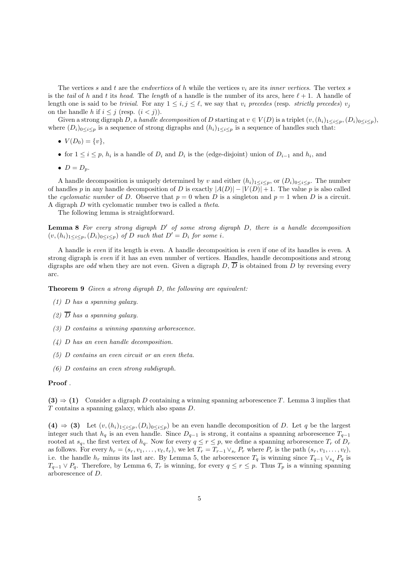The vertices s and t are the *endvertices* of h while the vertices  $v_i$  are its *inner vertices*. The vertex s is the tail of h and t its head. The length of a handle is the number of its arcs, here  $\ell + 1$ . A handle of length one is said to be trivial. For any  $1 \leq i, j \leq \ell$ , we say that  $v_i$  precedes (resp. strictly precedes)  $v_j$ on the handle h if  $i \leq j$  (resp.  $(i < j)$ ).

Given a strong digraph D, a handle decomposition of D starting at  $v \in V(D)$  is a triplet  $(v,(h_i)_{1 \leq i \leq p},(D_i)_{0 \leq i \leq p}),$ where  $(D_i)_{0\leq i\leq p}$  is a sequence of strong digraphs and  $(h_i)_{1\leq i\leq p}$  is a sequence of handles such that:

- $V(D_0) = \{v\},\,$
- for  $1 \leq i \leq p$ ,  $h_i$  is a handle of  $D_i$  and  $D_i$  is the (edge-disjoint) union of  $D_{i-1}$  and  $h_i$ , and
- $D = D_n$ .

A handle decomposition is uniquely determined by v and either  $(h_i)_{1\leq i\leq p}$ , or  $(D_i)_{0\leq i\leq p}$ . The number of handles p in any handle decomposition of D is exactly  $|A(D)| - |V(D)| + 1$ . The value p is also called the cyclomatic number of D. Observe that  $p = 0$  when D is a singleton and  $p = 1$  when D is a circuit. A digraph D with cyclomatic number two is called a theta.

The following lemma is straightforward.

**Lemma 8** For every strong digraph  $D'$  of some strong digraph  $D$ , there is a handle decomposition  $(v,(h_i)_{1\leq i\leq p},(D_i)_{0\leq i\leq p})$  of D such that  $D'=D_i$  for some i.

A handle is even if its length is even. A handle decomposition is even if one of its handles is even. A strong digraph is even if it has an even number of vertices. Handles, handle decompositions and strong digraphs are odd when they are not even. Given a digraph  $D$ ,  $\overline{D}$  is obtained from D by reversing every arc.

Theorem 9 Given a strong digraph D, the following are equivalent:

- (1) D has a spanning galaxy.
- (2)  $\overline{D}$  has a spanning galaxy.
- (3) D contains a winning spanning arborescence.
- (4) D has an even handle decomposition.
- (5) D contains an even circuit or an even theta.
- (6) D contains an even strong subdigraph.

#### Proof .

 $(3) \Rightarrow (1)$  Consider a digraph D containing a winning spanning arborescence T. Lemma 3 implies that T contains a spanning galaxy, which also spans D.

(4)  $\Rightarrow$  (3) Let  $(v,(h_i)_{1\leq i\leq p},(D_i)_{0\leq i\leq p})$  be an even handle decomposition of D. Let q be the largest integer such that  $h_q$  is an even handle. Since  $D_{q-1}$  is strong, it contains a spanning arborescence  $T_{q-1}$ rooted at  $s_q$ , the first vertex of  $h_q$ . Now for every  $q \leq r \leq p$ , we define a spanning arborescence  $T_r$  of  $D_r$ as follows. For every  $h_r = (s_r, v_1, \ldots, v_\ell, t_r)$ , we let  $T_r = T_{r-1} \vee_{s_r} P_r$  where  $P_r$  is the path  $(s_r, v_1, \ldots, v_\ell)$ , i.e. the handle  $h_r$  minus its last arc. By Lemma 5, the arborescence  $T_q$  is winning since  $T_{q-1} \vee_{s_q} P_q$  is  $T_{q-1} \vee P_q$ . Therefore, by Lemma 6,  $T_r$  is winning, for every  $q \leq r \leq p$ . Thus  $T_p$  is a winning spanning arborescence of D.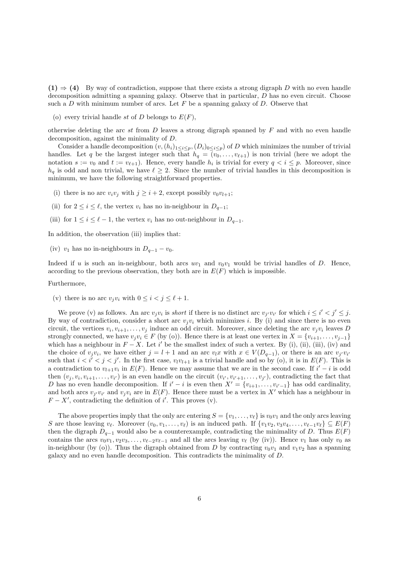$(1) \Rightarrow (4)$  By way of contradiction, suppose that there exists a strong digraph D with no even handle decomposition admitting a spanning galaxy. Observe that in particular, D has no even circuit. Choose such a  $D$  with minimum number of arcs. Let  $F$  be a spanning galaxy of  $D$ . Observe that

(o) every trivial handle st of D belongs to  $E(F)$ ,

otherwise deleting the arc st from  $D$  leaves a strong digraph spanned by  $F$  and with no even handle decomposition, against the minimality of D.

Consider a handle decomposition  $(v,(h_i)_{1\leq i\leq p},(D_i)_{0\leq i\leq p})$  of D which minimizes the number of trivial handles. Let q be the largest integer such that  $h_q = (v_0, \ldots, v_{\ell+1})$  is non trivial (here we adopt the notation  $s := v_0$  and  $t := v_{\ell+1}$ . Hence, every handle  $h_i$  is trivial for every  $q < i \leq p$ . Moreover, since  $h_q$  is odd and non trivial, we have  $\ell \geq 2$ . Since the number of trivial handles in this decomposition is minimum, we have the following straightforward properties.

- (i) there is no arc  $v_i v_j$  with  $j \geq i+2$ , except possibly  $v_0 v_{l+1}$ ;
- (ii) for  $2 \leq i \leq \ell$ , the vertex  $v_i$  has no in-neighbour in  $D_{q-1}$ ;
- (iii) for  $1 \leq i \leq \ell 1$ , the vertex  $v_i$  has no out-neighbour in  $D_{q-1}$ .

In addition, the observation (iii) implies that:

(iv)  $v_1$  has no in-neighbours in  $D_{a-1} - v_0$ .

Indeed if u is such an in-neighbour, both arcs  $uv_1$  and  $v_0v_1$  would be trivial handles of D. Hence, according to the previous observation, they both are in  $E(F)$  which is impossible.

Furthermore,

(v) there is no arc  $v_i v_i$  with  $0 \leq i \leq j \leq \ell + 1$ .

We prove (v) as follows. An arc  $v_jv_i$  is *short* if there is no distinct arc  $v_{j'}v_{i'}$  for which  $i \leq i' < j' \leq j$ . By way of contradiction, consider a short arc  $v_i v_i$  which minimizes i. By (i) and since there is no even circuit, the vertices  $v_i, v_{i+1}, \ldots, v_j$  induce an odd circuit. Moreover, since deleting the arc  $v_jv_i$  leaves D strongly connected, we have  $v_jv_i \in F$  (by (o)). Hence there is at least one vertex in  $X = \{v_{i+1}, \ldots, v_{i-1}\}\$ which has a neighbour in  $F - X$ . Let i' be the smallest index of such a vertex. By (i), (ii), (iii), (iv) and the choice of  $v_jv_i$ , we have either  $j = l + 1$  and an arc  $v_lx$  with  $x \in V(D_{q-1})$ , or there is an arc  $v_{j'}v_{i'}$ such that  $i < i' < j < j'$ . In the first case,  $v_i v_{l+1}$  is a trivial handle and so by (o), it is in  $E(F)$ . This is a contradiction to  $v_{l+1}v_i$  in  $E(F)$ . Hence we may assume that we are in the second case. If  $i'-i$  is odd then  $(v_i, v_i, v_{i+1}, \ldots, v_{i'})$  is an even handle on the circuit  $(v_{i'}, v_{i'+1}, \ldots, v_{i'})$ , contradicting the fact that D has no even handle decomposition. If  $i' - i$  is even then  $X' = \{v_{i+1}, \ldots, v_{i'-1}\}$  has odd cardinality, and both arcs  $v_{i'}v_{i'}$  and  $v_iv_i$  are in  $E(F)$ . Hence there must be a vertex in X' which has a neighbour in  $F - X'$ , contradicting the definition of i'. This proves (v).

The above properties imply that the only arc entering  $S = \{v_1, \ldots, v_\ell\}$  is  $v_0v_1$  and the only arcs leaving S are those leaving  $v_{\ell}$ . Moreover  $(v_0, v_1, \ldots, v_{\ell})$  is an induced path. If  $\{v_1v_2, v_3v_4, \ldots, v_{\ell-1}v_{\ell}\} \subseteq E(F)$ then the digraph  $D_{q-1}$  would also be a counterexample, contradicting the minimality of D. Thus  $E(F)$ contains the arcs  $v_0v_1, v_2v_3, \ldots, v_{\ell-2}v_{\ell-1}$  and all the arcs leaving  $v_{\ell}$  (by (iv)). Hence  $v_1$  has only  $v_0$  as in-neighbour (by (o)). Thus the digraph obtained from D by contracting  $v_0v_1$  and  $v_1v_2$  has a spanning galaxy and no even handle decomposition. This contradicts the minimality of D.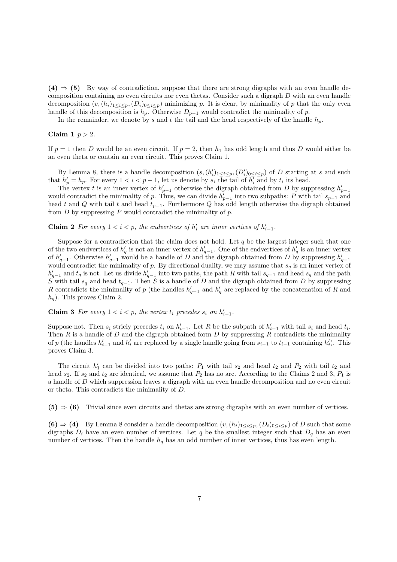$(4) \Rightarrow (5)$  By way of contradiction, suppose that there are strong digraphs with an even handle decomposition containing no even circuits nor even thetas. Consider such a digraph D with an even handle decomposition  $(v,(h_i)_{1\leq i\leq p},(D_i)_{0\leq i\leq p})$  minimizing p. It is clear, by minimality of p that the only even handle of this decomposition is  $h_p$ . Otherwise  $D_{p-1}$  would contradict the minimality of p.

In the remainder, we denote by s and t the tail and the head respectively of the handle  $h_p$ .

### Claim 1  $p > 2$ .

If  $p = 1$  then D would be an even circuit. If  $p = 2$ , then  $h_1$  has odd length and thus D would either be an even theta or contain an even circuit. This proves Claim 1.

By Lemma 8, there is a handle decomposition  $(s,(h'_i)_{1\leq i\leq p},(D'_i)_{0\leq i\leq p})$  of D starting at s and such that  $h'_p = h_p$ . For every  $1 < i < p - 1$ , let us denote by  $s_i$  the tail of  $h'_i$  and by  $t_i$  its head.

The vertex t is an inner vertex of  $h'_{p-1}$  otherwise the digraph obtained from D by suppressing  $h'_{p-1}$ would contradict the minimality of p. Thus, we can divide  $h'_{p-1}$  into two subpaths: P with tail  $s_{p-1}$  and head t and Q with tail t and head  $t_{p-1}$ . Furthermore Q has odd length otherwise the digraph obtained from  $D$  by suppressing  $P$  would contradict the minimality of  $p$ .

**Claim 2** For every  $1 < i < p$ , the endvertices of  $h'_i$  are inner vertices of  $h'_{i-1}$ .

Suppose for a contradiction that the claim does not hold. Let  $q$  be the largest integer such that one of the two endvertices of  $h'_q$  is not an inner vertex of  $h'_{q-1}$ . One of the endvertices of  $h'_q$  is an inner vertex of  $h'_{q-1}$ . Otherwise  $h'_{q-1}$  would be a handle of D and the digraph obtained from D by suppressing  $h'_{q-1}$ would contradict the minimality of p. By directional duality, we may assume that  $s_q$  is an inner vertex of  $h'_{q-1}$  and  $t_q$  is not. Let us divide  $h'_{q-1}$  into two paths, the path R with tail  $s_{q-1}$  and head  $s_q$  and the path S with tail  $s_q$  and head  $t_{q-1}$ . Then S is a handle of D and the digraph obtained from D by suppressing R contradicts the minimality of p (the handles  $h'_{q-1}$  and  $h'_{q}$  are replaced by the concatenation of R and  $h_q$ ). This proves Claim 2.

**Claim 3** For every  $1 < i < p$ , the vertex  $t_i$  precedes  $s_i$  on  $h'_{i-1}$ .

Suppose not. Then  $s_i$  stricly precedes  $t_i$  on  $h'_{i-1}$ . Let R be the subpath of  $h'_{i-1}$  with tail  $s_i$  and head  $t_i$ . Then R is a handle of D and the digraph obtained form D by suppressing R contradicts the minimality of p (the handles  $h'_{i-1}$  and  $h'_{i}$  are replaced by a single handle going from  $s_{i-1}$  to  $t_{i-1}$  containing  $h'_{i}$ ). This proves Claim 3.

The circuit  $h'_1$  can be divided into two paths:  $P_1$  with tail  $s_2$  and head  $t_2$  and  $P_2$  with tail  $t_2$  and head  $s_2$ . If  $s_2$  and  $t_2$  are identical, we assume that  $P_2$  has no arc. According to the Claims 2 and 3,  $P_1$  is a handle of D which suppression leaves a digraph with an even handle decomposition and no even circuit or theta. This contradicts the minimality of D.

 $(5) \Rightarrow (6)$  Trivial since even circuits and thetas are strong digraphs with an even number of vertices.

(6)  $\Rightarrow$  (4) By Lemma 8 consider a handle decomposition  $(v,(h_i)_{1\leq i\leq p},(D_i)_{0\leq i\leq p})$  of D such that some digraphs  $D_i$  have an even number of vertices. Let q be the smallest integer such that  $D_q$  has an even number of vertices. Then the handle  $h_q$  has an odd number of inner vertices, thus has even length.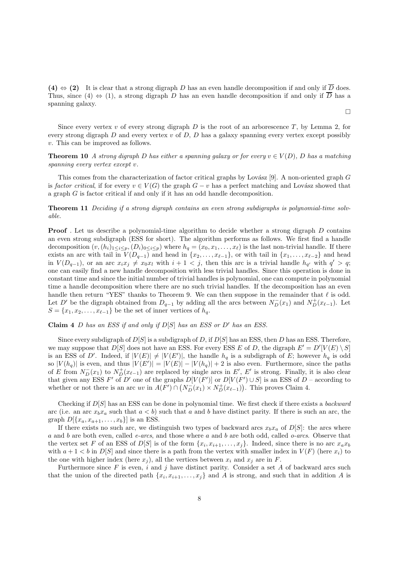(4)  $\Leftrightarrow$  (2) It is clear that a strong digraph D has an even handle decomposition if and only if  $\overline{D}$  does. Thus, since (4)  $\Leftrightarrow$  (1), a strong digraph D has an even handle decomposition if and only if  $\overline{D}$  has a spanning galaxy.

 $\Box$ 

Since every vertex  $v$  of every strong digraph  $D$  is the root of an arborescence  $T$ , by Lemma 2, for every strong digraph  $D$  and every vertex  $v$  of  $D$ ,  $D$  has a galaxy spanning every vertex except possibly v. This can be improved as follows.

**Theorem 10** A strong digraph D has either a spanning galaxy or for every  $v \in V(D)$ , D has a matching spanning every vertex except v.

This comes from the characterization of factor critical graphs by Lovász [9]. A non-oriented graph  $G$ is factor critical, if for every  $v \in V(G)$  the graph  $G - v$  has a perfect matching and Lovász showed that a graph G is factor critical if and only if it has an odd handle decomposition.

Theorem 11 Deciding if a strong digraph contains an even strong subdigraphs is polynomial-time solvable.

**Proof**. Let us describe a polynomial-time algorithm to decide whether a strong digraph D contains an even strong subdigraph (ESS for short). The algorithm performs as follows. We first find a handle decomposition  $(v,(h_i)_{1\leq i\leq p},(D_i)_{0\leq i\leq p})$  where  $h_q=(x_0,x_1,\ldots,x_\ell)$  is the last non-trivial handle. If there exists an arc with tail in  $V(D_{q-1})$  and head in  $\{x_2,\ldots,x_{\ell-1}\}$ , or with tail in  $\{x_1,\ldots,x_{\ell-2}\}$  and head in  $V(D_{q-1})$ , or an arc  $x_ix_j \neq x_0x_l$  with  $i + 1 < j$ , then this arc is a trivial handle  $h_{q'}$  with  $q' > q$ ; one can easily find a new handle decomposition with less trivial handles. Since this operation is done in constant time and since the initial number of trivial handles is polynomial, one can compute in polynomial time a handle decomposition where there are no such trivial handles. If the decomposition has an even handle then return "YES" thanks to Theorem 9. We can then suppose in the remainder that  $\ell$  is odd. Let D' be the digraph obtained from  $D_{q-1}$  by adding all the arcs between  $N_D^-(x_1)$  and  $N_D^+(x_{\ell-1})$ . Let  $S = \{x_1, x_2, \ldots, x_{\ell-1}\}\$ be the set of inner vertices of  $h_q$ .

Claim 4 D has an ESS if and only if  $D[S]$  has an ESS or  $D'$  has an ESS.

Since every subdigraph of  $D[S]$  is a subdigraph of D, if  $D[S]$  has an ESS, then D has an ESS. Therefore, we may suppose that  $D[S]$  does not have an ESS. For every ESS E of D, the digraph  $E' = D'[V(E) \setminus S]$ is an ESS of D'. Indeed, if  $|V(E)| \neq |V(E')|$ , the handle  $h_q$  is a subdigraph of E; however  $h_q$  is odd so  $|V(h_q)|$  is even, and thus  $|V(E')| = |V(E)| - |V(h_q)| + 2$  is also even. Furthermore, since the paths of E from  $N_D^-(x_1)$  to  $N_D^+(x_{\ell-1})$  are replaced by single arcs in E', E' is strong. Finally, it is also clear that given any ESS F' of D' one of the graphs  $D[V(F')]$  or  $D[V(F') \cup S]$  is an ESS of  $D$  – according to whether or not there is an arc uv in  $A(F') \cap (N_{D}^-(x_1) \times N_{D}^+(x_{\ell-1}))$ . This proves Claim 4.

Checking if  $D[S]$  has an ESS can be done in polynomial time. We first check if there exists a backward arc (i.e. an arc  $x_bx_a$  such that  $a < b$ ) such that a and b have distinct parity. If there is such an arc, the graph  $D[{x_a, x_{a+1}, \ldots, x_b}]$  is an ESS.

If there exists no such arc, we distinguish two types of backward arcs  $x_bx_a$  of  $D[S]$ : the arcs where a and b are both even, called  $e\text{-}arcs$ , and those where a and b are both odd, called  $o\text{-}arcs$ . Observe that the vertex set F of an ESS of  $D[S]$  is of the form  $\{x_i, x_{i+1},...,x_j\}$ . Indeed, since there is no arc  $x_a x_b$ with  $a+1 < b$  in  $D[S]$  and since there is a path from the vertex with smaller index in  $V(F)$  (here  $x_i$ ) to the one with higher index (here  $x_j$ ), all the vertices between  $x_i$  and  $x_j$  are in F.

Furthermore since  $F$  is even, i and j have distinct parity. Consider a set  $A$  of backward arcs such that the union of the directed path  $\{x_i, x_{i+1},...,x_j\}$  and A is strong, and such that in addition A is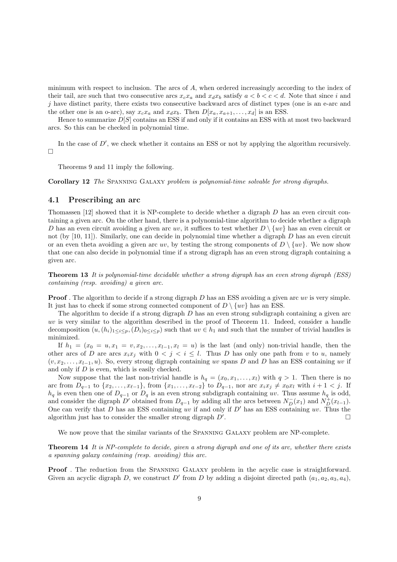minimum with respect to inclusion. The arcs of A, when ordered increasingly according to the index of their tail, are such that two consecutive arcs  $x_cx_a$  and  $x_dx_b$  satisfy  $a < b < c < d$ . Note that since i and j have distinct parity, there exists two consecutive backward arcs of distinct types (one is an e-arc and the other one is an o-arc), say  $x_cx_a$  and  $x_dx_b$ . Then  $D[x_a, x_{a+1},...,x_d]$  is an ESS.

Hence to summarize  $D[S]$  contains an ESS if and only if it contains an ESS with at most two backward arcs. So this can be checked in polynomial time.

In the case of  $D'$ , we check whether it contains an ESS or not by applying the algorithm recursively.  $\Box$ 

Theorems 9 and 11 imply the following.

Corollary 12 The Spanning Galaxy problem is polynomial-time solvable for strong digraphs.

### 4.1 Prescribing an arc

Thomassen [12] showed that it is NP-complete to decide whether a digraph D has an even circuit containing a given arc. On the other hand, there is a polynomial-time algorithm to decide whether a digraph D has an even circuit avoiding a given arc uv, it suffices to test whether  $D \setminus \{uv\}$  has an even circuit or not (by  $[10, 11]$ ). Similarly, one can decide in polynomial time whether a digraph D has an even circuit or an even theta avoiding a given arc uv, by testing the strong components of  $D \setminus \{uv\}$ . We now show that one can also decide in polynomial time if a strong digraph has an even strong digraph containing a given arc.

Theorem 13 It is polynomial-time decidable whether a strong digraph has an even strong digraph (ESS) containing (resp. avoiding) a given arc.

**Proof**. The algorithm to decide if a strong digraph D has an ESS avoiding a given arc uv is very simple. It just has to check if some strong connected component of  $D \setminus \{uv\}$  has an ESS.

The algorithm to decide if a strong digraph  $D$  has an even strong subdigraph containing a given arc uv is very similar to the algorithm described in the proof of Theorem 11. Indeed, consider a handle decomposition  $(u,(h_i)_{1\leq i\leq p},(D_i)_{0\leq i\leq p})$  such that  $uv\in h_1$  and such that the number of trivial handles is minimized.

If  $h_1 = (x_0 = u, x_1 = v, x_2, \ldots, x_{l-1}, x_l = u)$  is the last (and only) non-trivial handle, then the other arcs of D are arcs  $x_ix_j$  with  $0 < j < i \leq l$ . Thus D has only one path from v to u, namely  $(v, x_2, \ldots, x_{l-1}, u)$ . So, every strong digraph containing uv spans D and D has an ESS containing uv if and only if D is even, which is easily checked.

Now suppose that the last non-trivial handle is  $h_q = (x_0, x_1, \ldots, x_l)$  with  $q > 1$ . Then there is no arc from  $D_{q-1}$  to  $\{x_2,\ldots,x_{\ell-1}\}$ , from  $\{x_1,\ldots,x_{\ell-2}\}$  to  $D_{q-1}$ , nor arc  $x_ix_j \neq x_0x_l$  with  $i+1 < j$ . If  $h_q$  is even then one of  $D_{q-1}$  or  $D_q$  is an even strong subdigraph containing uv. Thus assume  $h_q$  is odd, and consider the digraph D' obtained from  $D_{q-1}$  by adding all the arcs between  $N_D^-(x_1)$  and  $N_D^+(x_{l-1})$ . One can verify that  $D$  has an ESS containing uv if and only if  $D'$  has an ESS containing uv. Thus the algorithm just has to consider the smaller strong digraph  $D'$ . . The contract of the contract of  $\Box$ 

We now prove that the similar variants of the SPANNING GALAXY problem are NP-complete.

Theorem 14 It is NP-complete to decide, given a strong digraph and one of its arc, whether there exists a spanning galaxy containing (resp. avoiding) this arc.

Proof. The reduction from the SPANNING GALAXY problem in the acyclic case is straightforward. Given an acyclic digraph D, we construct D' from D by adding a disjoint directed path  $(a_1, a_2, a_3, a_4)$ ,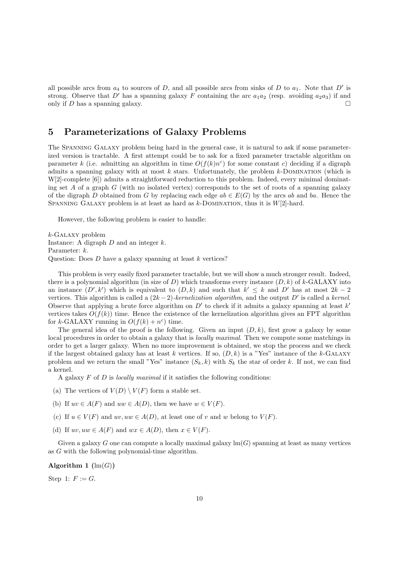all possible arcs from  $a_4$  to sources of D, and all possible arcs from sinks of D to  $a_1$ . Note that D' is strong. Observe that D' has a spanning galaxy F containing the arc  $a_1a_2$  (resp. avoiding  $a_2a_3$ ) if and only if D has a spanning galaxy.  $\Box$ 

# 5 Parameterizations of Galaxy Problems

The Spanning Galaxy problem being hard in the general case, it is natural to ask if some parameterized version is tractable. A first attempt could be to ask for a fixed parameter tractable algorithm on parameter k (i.e. admitting an algorithm in time  $O(f(k)n^c)$  for some constant c) deciding if a digraph admits a spanning galaxy with at most  $k$  stars. Unfortunately, the problem  $k$ -DOMINATION (which is W[2]-complete [6]) admits a straightforward reduction to this problem. Indeed, every minimal dominating set A of a graph G (with no isolated vertex) corresponds to the set of roots of a spanning galaxy of the digraph D obtained from G by replacing each edge  $ab \in E(G)$  by the arcs ab and ba. Hence the SPANNING GALAXY problem is at least as hard as  $k$ -DOMINATION, thus it is  $W[2]$ -hard.

However, the following problem is easier to handle:

 $k$ -GALAXY problem Instance: A digraph  $D$  and an integer  $k$ . Parameter: k. Question: Does  $D$  have a galaxy spanning at least  $k$  vertices?

This problem is very easily fixed parameter tractable, but we will show a much stronger result. Indeed, there is a polynomial algorithm (in size of D) which transforms every instance  $(D, k)$  of k-GALAXY into an instance  $(D', k')$  which is equivalent to  $(D, k)$  and such that  $k' \leq k$  and  $D'$  has at most  $2k - 2$ vertices. This algorithm is called a  $(2k-2)$ -kernelization algorithm, and the output D' is called a kernel. Observe that applying a brute force algorithm on  $D'$  to check if it admits a galaxy spanning at least k' vertices takes  $O(f(k))$  time. Hence the existence of the kernelization algorithm gives an FPT algorithm for k-GALAXY running in  $O(f(k) + n^c)$  time.

The general idea of the proof is the following. Given an input  $(D, k)$ , first grow a galaxy by some local procedures in order to obtain a galaxy that is *locally maximal*. Then we compute some matchings in order to get a larger galaxy. When no more improvement is obtained, we stop the process and we check if the largest obtained galaxy has at least k vertices. If so,  $(D, k)$  is a "Yes" instance of the k-GALAXY problem and we return the small "Yes" instance  $(S_k, k)$  with  $S_k$  the star of order k. If not, we can find a kernel.

A galaxy  $F$  of  $D$  is *locally maximal* if it satisfies the following conditions:

- (a) The vertices of  $V(D) \setminus V(F)$  form a stable set.
- (b) If  $uv \in A(F)$  and  $uw \in A(D)$ , then we have  $w \in V(F)$ .
- (c) If  $u \in V(F)$  and  $uv, uw \in A(D)$ , at least one of v and w belong to  $V(F)$ .
- (d) If  $uv, uw \in A(F)$  and  $wx \in A(D)$ , then  $x \in V(F)$ .

Given a galaxy G one can compute a locally maximal galaxy  $\text{Im}(G)$  spanning at least as many vertices as G with the following polynomial-time algorithm.

Algorithm 1  $(\text{lm}(G))$ 

Step 1:  $F := G$ .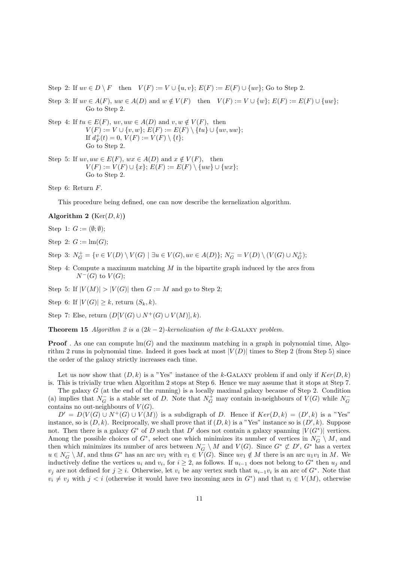Step 2: If  $uv \in D \setminus F$  then  $V(F) := V \cup \{u, v\}$ ;  $E(F) := E(F) \cup \{uv\}$ ; Go to Step 2.

- Step 3: If  $uv \in A(F)$ ,  $uw \in A(D)$  and  $w \notin V(F)$  then  $V(F) := V \cup \{w\}$ ;  $E(F) := E(F) \cup \{uw\}$ ; Go to Step 2.
- Step 4: If  $tu \in E(F)$ ,  $uv, uw \in A(D)$  and  $v, w \notin V(F)$ , then  $V(F) := V \cup \{v, w\}; E(F) := E(F) \setminus \{tu\} \cup \{uv, uw\};$ If  $d_F^+(t) = 0, V(F) := V(F) \setminus \{t\};$ Go to Step 2.
- Step 5: If  $uv, uw \in E(F)$ ,  $wx \in A(D)$  and  $x \notin V(F)$ , then  $V(F) := V(F) \cup \{x\}$ ;  $E(F) := E(F) \setminus \{uw\} \cup \{wx\}$ ; Go to Step 2.

Step 6: Return F.

This procedure being defined, one can now describe the kernelization algorithm.

Algorithm 2 ( $Ker(D, k)$ )

Step 1:  $G := (\emptyset; \emptyset);$ 

Step 2:  $G := \text{lm}(G);$ 

Step 3:  $N_G^+ = \{v \in V(D) \setminus V(G) \mid \exists u \in V(G), uv \in A(D)\};\ N_G^- = V(D) \setminus (V(G) \cup N_G^+);$ 

Step 4: Compute a maximum matching  $M$  in the bipartite graph induced by the arcs from  $N^-(G)$  to  $V(G)$ ;

Step 5: If  $|V(M)| > |V(G)|$  then  $G := M$  and go to Step 2:

Step 6: If  $|V(G)| \geq k$ , return  $(S_k, k)$ .

Step 7: Else, return  $(D[V(G) \cup N^+(G) \cup V(M)], k$ .

**Theorem 15** Algorithm 2 is a  $(2k-2)$ -kernelization of the k-GALAXY problem.

**Proof**. As one can compute  $\text{Im}(G)$  and the maximum matching in a graph in polynomial time, Algorithm 2 runs in polynomial time. Indeed it goes back at most  $|V(D)|$  times to Step 2 (from Step 5) since the order of the galaxy strictly increases each time.

Let us now show that  $(D, k)$  is a "Yes" instance of the k-GALAXY problem if and only if  $Ker(D, k)$ is. This is trivially true when Algorithm 2 stops at Step 6. Hence we may assume that it stops at Step 7.

The galaxy  $G$  (at the end of the running) is a locally maximal galaxy because of Step 2. Condition (a) implies that  $N_G^-$  is a stable set of D. Note that  $N_G^+$  may contain in-neighbours of  $V(G)$  while  $N_G^$ contains no out-neighbours of  $V(G)$ .

 $D' = D\langle V(G) \cup N^{+}(G) \cup V(M) \rangle$  is a subdigraph of D. Hence if  $Ker(D, k) = (D', k)$  is a "Yes" instance, so is  $(D, k)$ . Reciprocally, we shall prove that if  $(D, k)$  is a "Yes" instance so is  $(D', k)$ . Suppose not. Then there is a galaxy  $G^*$  of D such that D' does not contain a galaxy spanning  $|V(G^*)|$  vertices. Among the possible choices of  $G^*$ , select one which minimizes its number of vertices in  $N_G^- \setminus M$ , and then which minimizes its number of arcs between  $N_G \setminus M$  and  $V(G)$ . Since  $G^* \not\subset D'$ ,  $G^*$  has a vertex  $u \in N_G^- \setminus M$ , and thus  $G^*$  has an arc  $uv_1$  with  $v_1 \in V(G)$ . Since  $uv_1 \notin M$  there is an arc  $u_1v_1$  in M. We inductively define the vertices  $u_i$  and  $v_i$ , for  $i \geq 2$ , as follows. If  $u_{i-1}$  does not belong to  $G^*$  then  $u_j$  and  $v_j$  are not defined for  $j \geq i$ . Otherwise, let  $v_i$  be any vertex such that  $u_{i-1}v_i$  is an arc of  $G^*$ . Note that  $v_i \neq v_j$  with  $j < i$  (otherwise it would have two incoming arcs in  $G^*$ ) and that  $v_i \in V(M)$ , otherwise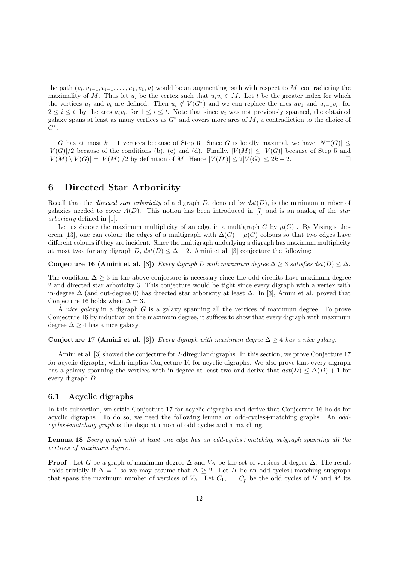the path  $(v_i, u_{i-1}, v_{i-1}, \ldots, u_1, v_1, u)$  would be an augmenting path with respect to M, contradicting the maximality of M. Thus let  $u_i$  be the vertex such that  $u_i v_i \in M$ . Let t be the greater index for which the vertices  $u_t$  and  $v_t$  are defined. Then  $u_t \notin V(G^*)$  and we can replace the arcs  $uv_1$  and  $u_{i-1}v_i$ , for  $2 \leq i \leq t$ , by the arcs  $u_i v_i$ , for  $1 \leq i \leq t$ . Note that since  $u_t$  was not previously spanned, the obtained galaxy spans at least as many vertices as  $G^*$  and covers more arcs of  $M$ , a contradiction to the choice of  $G^*$ .

G has at most  $k-1$  vertices because of Step 6. Since G is locally maximal, we have  $|N^+(G)| \leq$  $|V(G)|/2$  because of the conditions (b), (c) and (d). Finally,  $|V(M)| \leq |V(G)|$  because of Step 5 and  $|V(M) \setminus V(G)| = |V(M)|/2$  by definition of M. Hence  $|V(D')| \leq 2|V(G)| \leq 2k-2$  $|V(M) \setminus V(G)| = |V(M)|/2$  by definition of M. Hence  $|V(D')| \le 2|V(G)| \le 2k - 2$ .

### 6 Directed Star Arboricity

Recall that the *directed star arboricity* of a digraph  $D$ , denoted by  $dst(D)$ , is the minimum number of galaxies needed to cover  $A(D)$ . This notion has been introduced in [7] and is an analog of the star arboricity defined in [1].

Let us denote the maximum multiplicity of an edge in a multigraph G by  $\mu(G)$ . By Vizing's theorem [13], one can colour the edges of a multigraph with  $\Delta(G) + \mu(G)$  colours so that two edges have different colours if they are incident. Since the multigraph underlying a digraph has maximum multiplicity at most two, for any digraph  $D$ ,  $dst(D) \leq \Delta + 2$ . Amini et al. [3] conjecture the following:

Conjecture 16 (Amini et al. [3]) Every digraph D with maximum degree  $\Delta \geq 3$  satisfies dst(D)  $\leq \Delta$ .

The condition  $\Delta \geq 3$  in the above conjecture is necessary since the odd circuits have maximum degree 2 and directed star arboricity 3. This conjecture would be tight since every digraph with a vertex with in-degree ∆ (and out-degree 0) has directed star arboricity at least ∆. In [3], Amini et al. proved that Conjecture 16 holds when  $\Delta = 3$ .

A nice galaxy in a digraph G is a galaxy spanning all the vertices of maximum degree. To prove Conjecture 16 by induction on the maximum degree, it suffices to show that every digraph with maximum degree  $\Delta \geq 4$  has a nice galaxy.

### Conjecture 17 (Amini et al. [3]) Every digraph with maximum degree  $\Delta > 4$  has a nice galaxy.

Amini et al. [3] showed the conjecture for 2-diregular digraphs. In this section, we prove Conjecture 17 for acyclic digraphs, which implies Conjecture 16 for acyclic digraphs. We also prove that every digraph has a galaxy spanning the vertices with in-degree at least two and derive that  $dst(D) \leq \Delta(D) + 1$  for every digraph D.

### 6.1 Acyclic digraphs

In this subsection, we settle Conjecture 17 for acyclic digraphs and derive that Conjecture 16 holds for acyclic digraphs. To do so, we need the following lemma on odd-cycles+matching graphs. An oddcycles+matching graph is the disjoint union of odd cycles and a matching.

Lemma 18 Every graph with at least one edge has an odd-cycles+matching subgraph spanning all the vertices of maximum degree.

**Proof**. Let G be a graph of maximum degree  $\Delta$  and  $V_{\Delta}$  be the set of vertices of degree  $\Delta$ . The result holds trivially if  $\Delta = 1$  so we may assume that  $\Delta \geq 2$ . Let H be an odd-cycles+matching subgraph that spans the maximum number of vertices of  $V_{\Delta}$ . Let  $C_1, \ldots, C_p$  be the odd cycles of H and M its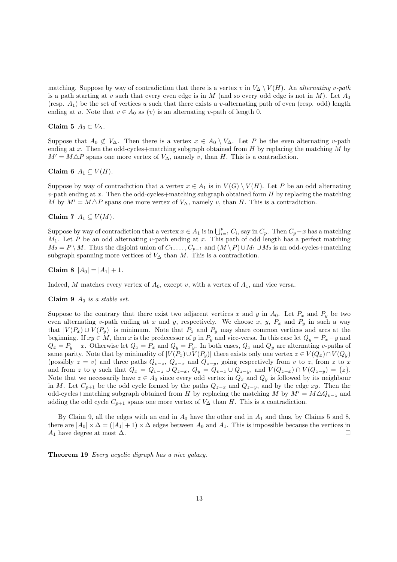matching. Suppose by way of contradiction that there is a vertex v in  $V_{\Delta} \setminus V(H)$ . An alternating v-path is a path starting at v such that every even edge is in M (and so every odd edge is not in M). Let  $A_0$ (resp.  $A_1$ ) be the set of vertices u such that there exists a v-alternating path of even (resp. odd) length ending at u. Note that  $v \in A_0$  as  $(v)$  is an alternating v-path of length 0.

### Claim 5  $A_0 \subset V_\Delta$ .

Suppose that  $A_0 \not\subset V_\Delta$ . Then there is a vertex  $x \in A_0 \setminus V_\Delta$ . Let P be the even alternating v-path ending at x. Then the odd-cycles+matching subgraph obtained from  $H$  by replacing the matching  $M$  by  $M' = M \triangle P$  spans one more vertex of  $V_{\Delta}$ , namely v, than H. This is a contradiction.

### Claim 6  $A_1 \subseteq V(H)$ .

Suppose by way of contradiction that a vertex  $x \in A_1$  is in  $V(G) \setminus V(H)$ . Let P be an odd alternating  $v$ -path ending at x. Then the odd-cycles+matching subgraph obtained form H by replacing the matching M by  $M' = M \triangle P$  spans one more vertex of  $V_{\Delta}$ , namely v, than H. This is a contradiction.

Claim 7  $A_1 \subseteq V(M)$ .

Suppose by way of contradiction that a vertex  $x \in A_1$  is in  $\bigcup_{i=1}^p C_i$ , say in  $C_p$ . Then  $C_p - x$  has a matching  $M_1$ . Let P be an odd alternating v-path ending at x. This path of odd length has a perfect matching  $M_2 = P \setminus M$ . Thus the disjoint union of  $C_1, \ldots, C_{p-1}$  and  $(M \setminus P) \cup M_1 \cup M_2$  is an odd-cycles+matching subgraph spanning more vertices of  $V_{\Delta}$  than  $M$ . This is a contradiction.

Claim 8  $|A_0| = |A_1| + 1$ .

Indeed, M matches every vertex of  $A_0$ , except v, with a vertex of  $A_1$ , and vice versa.

Claim 9  $A_0$  is a stable set.

Suppose to the contrary that there exist two adjacent vertices x and y in  $A_0$ . Let  $P_x$  and  $P_y$  be two even alternating v-path ending at x and y, respectively. We choose x, y,  $P_x$  and  $P_y$  in such a way that  $|V(P_x) \cup V(P_y)|$  is minimum. Note that  $P_x$  and  $P_y$  may share common vertices and arcs at the beginning. If  $xy \in M$ , then x is the predecessor of y in  $P_y$  and vice-versa. In this case let  $Q_y = P_x - y$  and  $Q_x = P_y - x$ . Otherwise let  $Q_x = P_x$  and  $Q_y = P_y$ . In both cases,  $Q_x$  and  $Q_y$  are alternating v-paths of same parity. Note that by minimality of  $|V(P_x) \cup V(P_y)|$  there exists only one vertex  $z \in V(Q_x) \cap V(Q_y)$ (possibly  $z = v$ ) and three paths  $Q_{v-z}$ ,  $Q_{z-x}$  and  $Q_{z-y}$ , going respectively from v to z, from z to x and from z to y such that  $Q_x = Q_{v-z} \cup Q_{z-x}$ ,  $Q_y = Q_{v-z} \cup Q_{z-y}$ , and  $V(Q_{z-x}) \cap V(Q_{z-y}) = \{z\}.$ Note that we necessarily have  $z \in A_0$  since every odd vertex in  $Q_x$  and  $Q_y$  is followed by its neighbour in M. Let  $C_{p+1}$  be the odd cycle formed by the paths  $Q_{z-x}$  and  $Q_{z-y}$ , and by the edge xy. Then the odd-cycles+matching subgraph obtained from H by replacing the matching M by  $M' = M \triangle Q_{v-z}$  and adding the odd cycle  $C_{p+1}$  spans one more vertex of  $V_{\Delta}$  than H. This is a contradiction.

By Claim 9, all the edges with an end in  $A_0$  have the other end in  $A_1$  and thus, by Claims 5 and 8, there are  $|A_0| \times \Delta = (|A_1| + 1) \times \Delta$  edges between  $A_0$  and  $A_1$ . This is impossible because the vertices in  $A_1$  have degree at most  $\Delta$ .  $A_1$  have degree at most  $\Delta$ .

Theorem 19 Every acyclic digraph has a nice galaxy.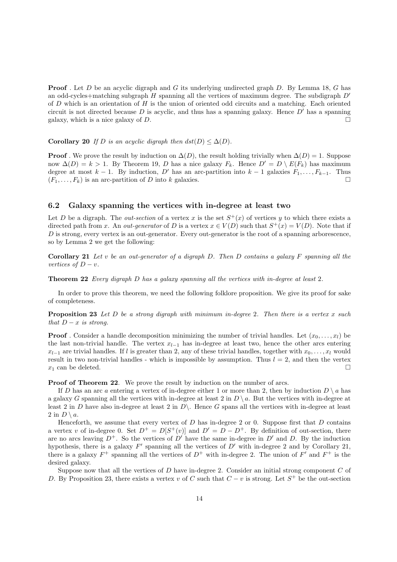**Proof**. Let D be an acyclic digraph and G its underlying undirected graph D. By Lemma 18, G has an odd-cycles+matching subgraph H spanning all the vertices of maximum degree. The subdigraph  $D'$ of  $D$  which is an orientation of  $H$  is the union of oriented odd circuits and a matching. Each oriented circuit is not directed because  $D$  is acyclic, and thus has a spanning galaxy. Hence  $D'$  has a spanning galaxy, which is a nice galaxy of  $D$ .

#### Corollary 20 If D is an acyclic digraph then  $dst(D) \leq \Delta(D)$ .

**Proof**. We prove the result by induction on  $\Delta(D)$ , the result holding trivially when  $\Delta(D) = 1$ . Suppose now  $\Delta(D) = k > 1$ . By Theorem 19, D has a nice galaxy  $F_k$ . Hence  $D' = D \setminus E(F_k)$  has maximum degree at most  $k - 1$ . By induction, D' has an arc-partition into  $k - 1$  galaxies  $F_1, \ldots, F_{k-1}$ . Thus  $(F_1, \ldots, F_k)$  is an arc-partition of D into k galaxies.  $(F_1, \ldots, F_k)$  is an arc-partition of D into k galaxies.

### 6.2 Galaxy spanning the vertices with in-degree at least two

Let D be a digraph. The *out-section* of a vertex x is the set  $S^+(x)$  of vertices y to which there exists a directed path from x. An *out-generator* of D is a vertex  $x \in V(D)$  such that  $S^+(x) = V(D)$ . Note that if D is strong, every vertex is an out-generator. Every out-generator is the root of a spanning arborescence, so by Lemma 2 we get the following:

**Corollary 21** Let v be an out-generator of a digraph D. Then D contains a galaxy F spanning all the vertices of  $D - v$ .

Theorem 22 Every digraph D has a galaxy spanning all the vertices with in-degree at least 2.

In order to prove this theorem, we need the following folklore proposition. We give its proof for sake of completeness.

**Proposition 23** Let  $D$  be a strong digraph with minimum in-degree 2. Then there is a vertex x such that  $D - x$  is strong.

**Proof** . Consider a handle decomposition minimizing the number of trivial handles. Let  $(x_0, \ldots, x_l)$  be the last non-trivial handle. The vertex  $x_{l-1}$  has in-degree at least two, hence the other arcs entering  $x_{l-1}$  are trivial handles. If l is greater than 2, any of these trivial handles, together with  $x_0, \ldots, x_l$  would result in two non-trivial handles - which is impossible by assumption. Thus  $l = 2$ , and then the vertex  $x_1$  can be deleted.

Proof of Theorem 22. We prove the result by induction on the number of arcs.

If D has an arc a entering a vertex of in-degree either 1 or more than 2, then by induction  $D \setminus a$  has a galaxy G spanning all the vertices with in-degree at least 2 in  $D \setminus a$ . But the vertices with in-degree at least 2 in D have also in-degree at least 2 in  $D\setminus$ . Hence G spans all the vertices with in-degree at least 2 in  $D \setminus a$ .

Henceforth, we assume that every vertex of  $D$  has in-degree 2 or 0. Suppose first that  $D$  contains a vertex v of in-degree 0. Set  $D^+ = D[S^+(v)]$  and  $D' = D - D^+$ . By definition of out-section, there are no arcs leaving  $D^+$ . So the vertices of  $D'$  have the same in-degree in  $D'$  and  $D$ . By the induction hypothesis, there is a galaxy  $F'$  spanning all the vertices of  $D'$  with in-degree 2 and by Corollary 21, there is a galaxy  $F^+$  spanning all the vertices of  $D^+$  with in-degree 2. The union of  $F'$  and  $F^+$  is the desired galaxy.

Suppose now that all the vertices of  $D$  have in-degree 2. Consider an initial strong component  $C$  of D. By Proposition 23, there exists a vertex v of C such that  $C - v$  is strong. Let  $S^+$  be the out-section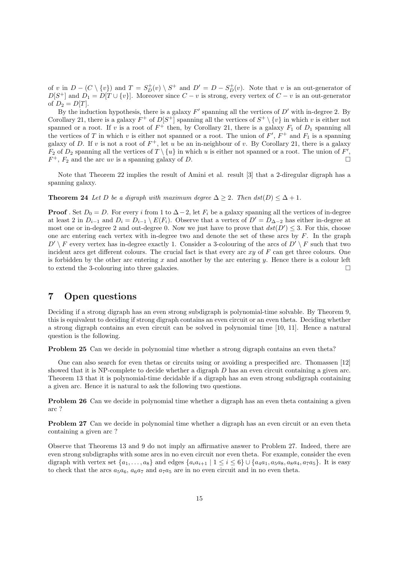of v in  $D - (C \setminus \{v\})$  and  $T = S_D^+(v) \setminus S^+$  and  $D' = D - S_D^+(v)$ . Note that v is an out-generator of  $D[S^+]$  and  $D_1 = D[T \cup \{v\}]$ . Moreover since  $C - v$  is strong, every vertex of  $C - v$  is an out-generator of  $D_2 = D[T]$ .

By the induction hypothesis, there is a galaxy  $F'$  spanning all the vertices of  $D'$  with in-degree 2. By Corollary 21, there is a galaxy  $F^+$  of  $D[S^+]$  spanning all the vertices of  $S^+ \setminus \{v\}$  in which v is either not spanned or a root. If v is a root of  $F^+$  then, by Corollary 21, there is a galaxy  $F_1$  of  $D_1$  spanning all the vertices of T in which v is either not spanned or a root. The union of  $F'$ ,  $F^+$  and  $F_1$  is a spanning galaxy of D. If v is not a root of  $F^+$ , let u be an in-neighbour of v. By Corollary 21, there is a galaxy  $F_2$  of  $D_2$  spanning all the vertices of  $T \setminus \{u\}$  in which u is either not spanned or a root. The union of  $F'$ ,  $F^+$ ,  $F_2$  and the arc uv is a spanning galaxy of D.

Note that Theorem 22 implies the result of Amini et al. result [3] that a 2-diregular digraph has a spanning galaxy.

**Theorem 24** Let D be a digraph with maximum degree  $\Delta \geq 2$ . Then  $dst(D) \leq \Delta + 1$ .

**Proof**. Set  $D_0 = D$ . For every i from 1 to  $\Delta - 2$ , let  $F_i$  be a galaxy spanning all the vertices of in-degree at least 2 in  $D_{i-1}$  and  $D_i = D_{i-1} \setminus E(F_i)$ . Observe that a vertex of  $D' = D_{\Delta-2}$  has either in-degree at most one or in-degree 2 and out-degree 0. Now we just have to prove that  $dst(D') \leq 3$ . For this, choose one arc entering each vertex with in-degree two and denote the set of these arcs by  $F$ . In the graph  $D' \setminus F$  every vertex has in-degree exactly 1. Consider a 3-colouring of the arcs of  $D' \setminus F$  such that two incident arcs get different colours. The crucial fact is that every arc  $xy$  of  $F$  can get three colours. One is forbidden by the other arc entering x and another by the arc entering y. Hence there is a colour left to extend the 3-colouring into three galaxies.  $\Box$ 

### 7 Open questions

Deciding if a strong digraph has an even strong subdigraph is polynomial-time solvable. By Theorem 9, this is equivalent to deciding if strong digraph contains an even circuit or an even theta. Deciding whether a strong digraph contains an even circuit can be solved in polynomial time [10, 11]. Hence a natural question is the following.

Problem 25 Can we decide in polynomial time whether a strong digraph contains an even theta?

One can also search for even thetas or circuits using or avoiding a prespecified arc. Thomassen [12] showed that it is NP-complete to decide whether a digraph D has an even circuit containing a given arc. Theorem 13 that it is polynomial-time decidable if a digraph has an even strong subdigraph containing a given arc. Hence it is natural to ask the following two questions.

**Problem 26** Can we decide in polynomial time whether a digraph has an even theta containing a given arc ?

Problem 27 Can we decide in polynomial time whether a digraph has an even circuit or an even theta containing a given arc ?

Observe that Theorems 13 and 9 do not imply an affirmative answer to Problem 27. Indeed, there are even strong subdigraphs with some arcs in no even circuit nor even theta. For example, consider the even digraph with vertex set  $\{a_1,\ldots,a_8\}$  and edges  $\{a_ia_{i+1} | 1 \leq i \leq 6\} \cup \{a_4a_1,a_5a_8,a_8a_4,a_7a_5\}$ . It is easy to check that the arcs  $a_5a_6$ ,  $a_6a_7$  and  $a_7a_5$  are in no even circuit and in no even theta.